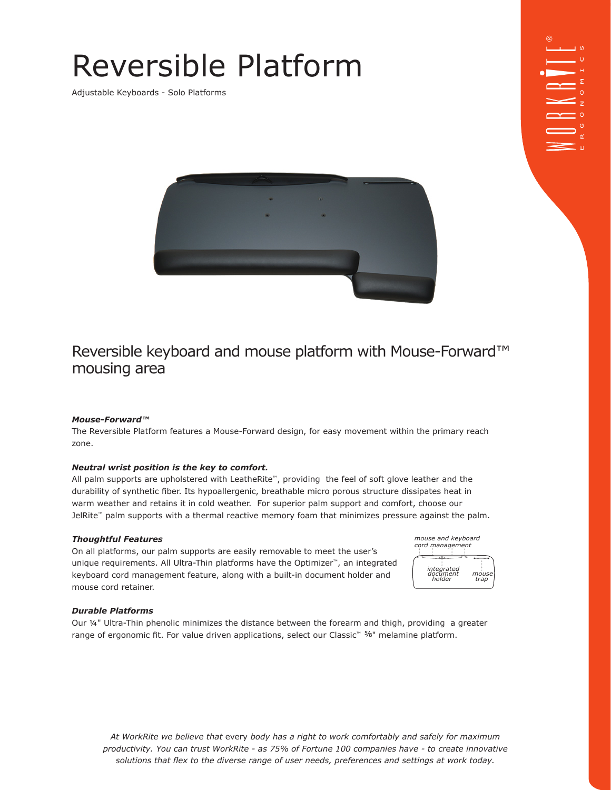# Reversible Platform

Adjustable Keyboards - Solo Platforms



### Reversible keyboard and mouse platform with Mouse-Forward™ mousing area

#### *Mouse-Forward™*

The Reversible Platform features a Mouse-Forward design, for easy movement within the primary reach zone.

#### *Neutral wrist position is the key to comfort.*

All palm supports are upholstered with LeatheRite™, providing the feel of soft glove leather and the durability of synthetic fiber. Its hypoallergenic, breathable micro porous structure dissipates heat in warm weather and retains it in cold weather. For superior palm support and comfort, choose our JelRite™ palm supports with a thermal reactive memory foam that minimizes pressure against the palm.

#### *Thoughtful Features*

On all platforms, our palm supports are easily removable to meet the user's unique requirements. All Ultra-Thin platforms have the Optimizer™, an integrated keyboard cord management feature, along with a built-in document holder and mouse cord retainer.

| mouse and keyboard<br>cord management |       |  |  |  |  |  |
|---------------------------------------|-------|--|--|--|--|--|
| integrated<br>document                | mouse |  |  |  |  |  |
| holder                                | trap  |  |  |  |  |  |

#### *Durable Platforms*

Our ¼" Ultra-Thin phenolic minimizes the distance between the forearm and thigh, providing a greater range of ergonomic fit. For value driven applications, select our Classic™ 5/8" melamine platform.

*At WorkRite we believe that* every *body has a right to work comfortably and safely for maximum productivity. You can trust WorkRite - as 75% of Fortune 100 companies have - to create innovative solutions that flex to the diverse range of user needs, preferences and settings at work today.*